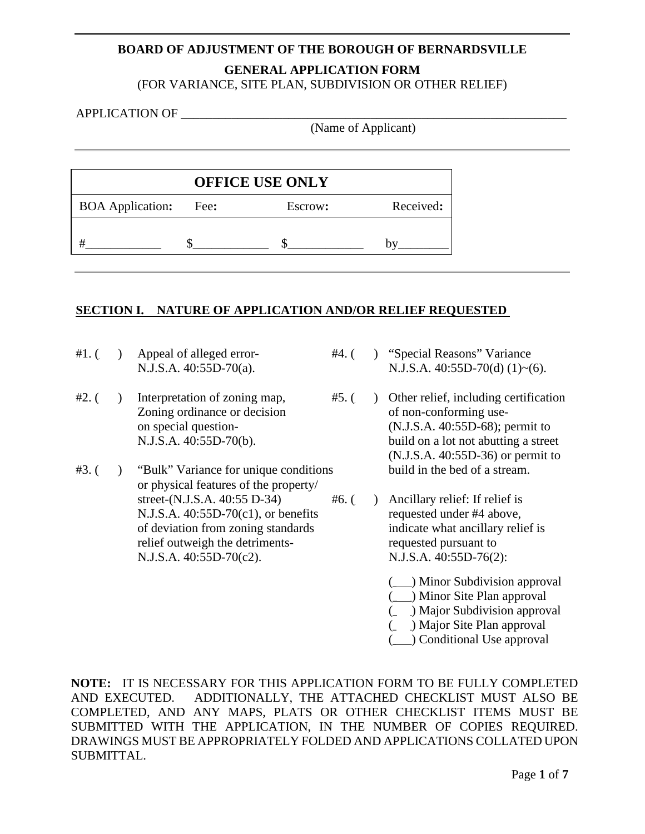# **BOARD OF ADJUSTMENT OF THE BOROUGH OF BERNARDSVILLE GENERAL APPLICATION FORM**

(FOR VARIANCE, SITE PLAN, SUBDIVISION OR OTHER RELIEF)

#### APPLICATION OF

(Name of Applicant)

|                         | <b>OFFICE USE ONLY</b> |         |           |
|-------------------------|------------------------|---------|-----------|
| <b>BOA</b> Application: | Fee:                   | Escrow: | Received: |
|                         |                        |         |           |

## **SECTION I. NATURE OF APPLICATION AND/OR RELIEF REQUESTED**

- #1. () Appeal of alleged error- #4. () "Special Reasons" Variance
- Zoning ordinance or decision
- $#3.$  ( ) "Bulk" Variance for unique conditions or physical features of the property/ street-(N.J.S.A.  $40:55$  D-34)  $\#6.$  ( ) Ancillary relief: If relief is N.J.S.A. 40:55D-70(c1), or benefits requested under #4 above, of deviation from zoning standards indicate what ancillary relief is relief outweigh the detriments-<br>N.J.S.A. 40:55D-70(c2). N.J.S.A. 40:55D-76(2):  $N.J.S.A. 40:55D-70(c2).$
- N.J.S.A. 40:55D-70(a). N.J.S.A. 40:55D-70(d) (1)~(6).
- #2. ( $\blacksquare$ ) Interpretation of zoning map, #5. ( $\blacksquare$ ) Other relief, including certification <br>Zoning ordinance or decision of non-conforming use on special question- (N.J.S.A. 40:55D-68); permit to N.J.S.A. 40:55D-70(b). build on a lot not abutting a street (N.J.S.A. 40:55D-36) or permit to<br>build in the bed of a stream.
	- - (\_\_\_) Minor Subdivision approval
		- (\_\_\_) Minor Site Plan approval
		- (\_\_\_) Major Subdivision approval
		- (\_\_\_) Major Site Plan approval
		- (\_\_\_) Conditional Use approval

**NOTE:** IT IS NECESSARY FOR THIS APPLICATION FORM TO BE FULLY COMPLETED AND EXECUTED. ADDITIONALLY, THE ATTACHED CHECKLIST MUST ALSO BE COMPLETED, AND ANY MAPS, PLATS OR OTHER CHECKLIST ITEMS MUST BE SUBMITTED WITH THE APPLICATION, IN THE NUMBER OF COPIES REQUIRED. DRAWINGS MUST BE APPROPRIATELY FOLDED AND APPLICATIONS COLLATED UPON SUBMITTAL.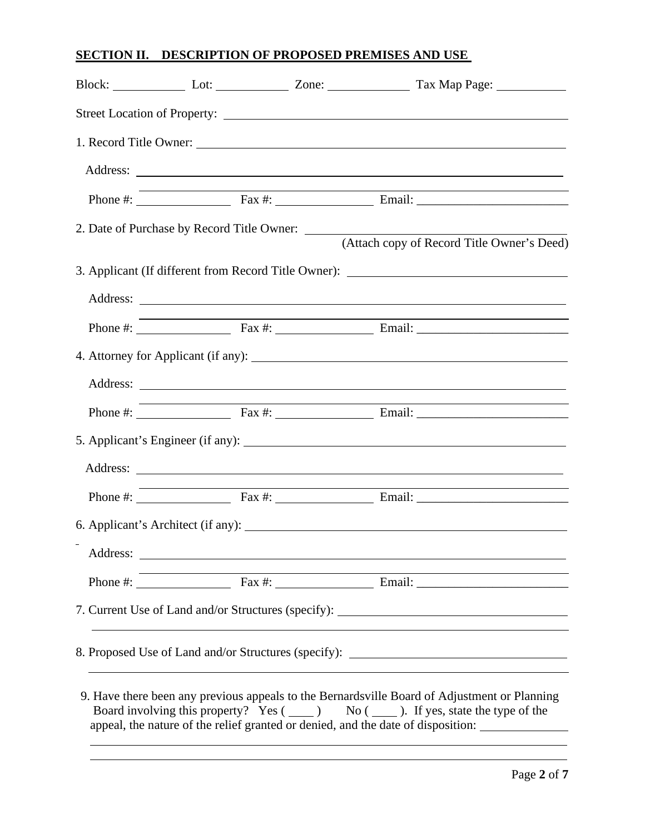# **SECTION II. DESCRIPTION OF PROPOSED PREMISES AND USE**

|  | Block: Lot: Lot: Zone: Tax Map Page: Lot:                                         |
|--|-----------------------------------------------------------------------------------|
|  |                                                                                   |
|  |                                                                                   |
|  |                                                                                   |
|  |                                                                                   |
|  |                                                                                   |
|  | (Attach copy of Record Title Owner's Deed)                                        |
|  | 3. Applicant (If different from Record Title Owner): ___________________________  |
|  |                                                                                   |
|  |                                                                                   |
|  |                                                                                   |
|  |                                                                                   |
|  |                                                                                   |
|  |                                                                                   |
|  |                                                                                   |
|  |                                                                                   |
|  |                                                                                   |
|  |                                                                                   |
|  |                                                                                   |
|  | 7. Current Use of Land and/or Structures (specify): _____________________________ |
|  |                                                                                   |
|  | 8. Proposed Use of Land and/or Structures (specify): ___________________________  |
|  |                                                                                   |

9. Have there been any previous appeals to the Bernardsville Board of Adjustment or Planning Board involving this property? Yes  $($   $)$  No  $($   $)$ . If yes, state the type of the appeal, the nature of the relief granted or denied, and the date of disposition: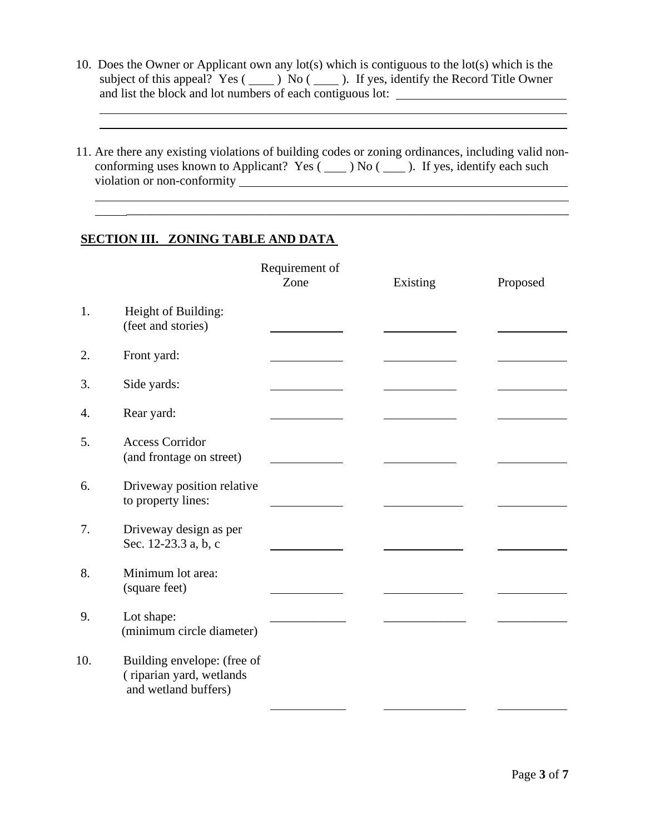- 10. Does the Owner or Applicant own any lot(s) which is contiguous to the lot(s) which is the subject of this appeal? Yes ( $\Box$ ) No ( $\Box$ ). If yes, identify the Record Title Owner and list the block and lot numbers of each contiguous lot:
- 11. Are there any existing violations of building codes or zoning ordinances, including valid nonconforming uses known to Applicant? Yes  $($   $)$  No  $($   $)$ . If yes, identify each such violation or non-conformity

\_\_\_\_\_\_\_\_\_\_\_\_\_\_\_\_\_\_\_\_\_\_\_\_\_\_\_\_\_\_\_\_\_\_\_\_\_\_\_\_\_\_\_\_\_\_\_\_\_\_\_\_\_\_\_\_\_\_\_\_\_\_\_\_\_\_\_\_\_\_

## **SECTION III. ZONING TABLE AND DATA**

|     |                                                                                 | Requirement of |          |          |
|-----|---------------------------------------------------------------------------------|----------------|----------|----------|
|     |                                                                                 | Zone           | Existing | Proposed |
| 1.  | Height of Building:<br>(feet and stories)                                       |                |          |          |
| 2.  | Front yard:                                                                     |                |          |          |
| 3.  | Side yards:                                                                     |                |          |          |
| 4.  | Rear yard:                                                                      |                |          |          |
| 5.  | <b>Access Corridor</b><br>(and frontage on street)                              |                |          |          |
| 6.  | Driveway position relative<br>to property lines:                                |                |          |          |
| 7.  | Driveway design as per<br>Sec. 12-23.3 a, b, c                                  |                |          |          |
| 8.  | Minimum lot area:<br>(square feet)                                              |                |          |          |
| 9.  | Lot shape:<br>(minimum circle diameter)                                         |                |          |          |
| 10. | Building envelope: (free of<br>(riparian yard, wetlands<br>and wetland buffers) |                |          |          |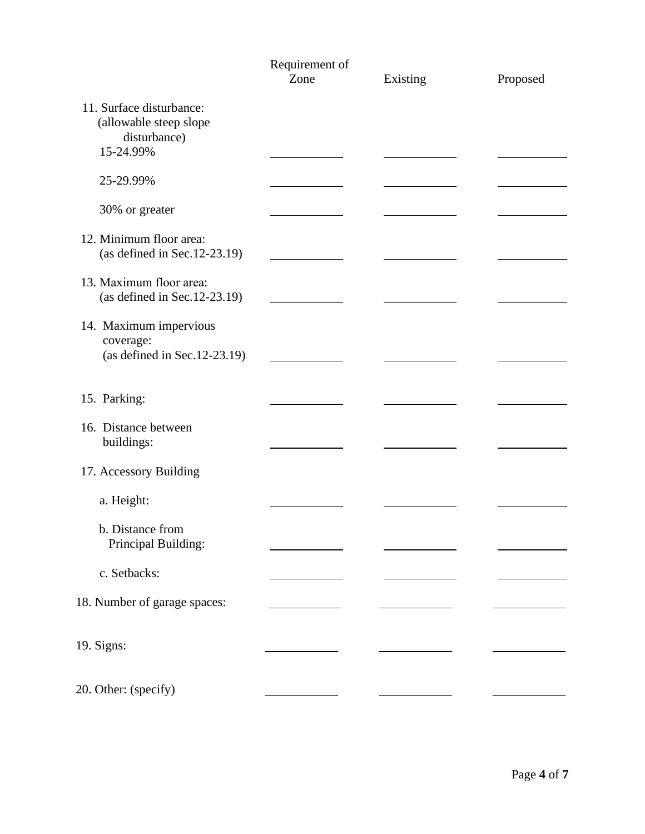|                                                                                 | Requirement of |          |          |  |
|---------------------------------------------------------------------------------|----------------|----------|----------|--|
|                                                                                 | Zone           | Existing | Proposed |  |
| 11. Surface disturbance:<br>(allowable steep slope<br>disturbance)<br>15-24.99% |                |          |          |  |
| 25-29.99%                                                                       |                |          |          |  |
| 30% or greater                                                                  |                |          |          |  |
| 12. Minimum floor area:<br>(as defined in Sec. $12-23.19$ )                     |                |          |          |  |
| 13. Maximum floor area:<br>(as defined in Sec. $12-23.19$ )                     |                |          |          |  |
| 14. Maximum impervious<br>coverage:<br>(as defined in Sec. $12-23.19$ )         |                |          |          |  |
| 15. Parking:                                                                    |                |          |          |  |
| 16. Distance between<br>buildings:                                              |                |          |          |  |
| 17. Accessory Building                                                          |                |          |          |  |
| a. Height:                                                                      |                |          |          |  |
| b. Distance from<br>Principal Building:                                         |                |          |          |  |
| c. Setbacks:                                                                    |                |          |          |  |
| 18. Number of garage spaces:                                                    |                |          |          |  |
| 19. Signs:                                                                      |                |          |          |  |
| 20. Other: (specify)                                                            |                |          |          |  |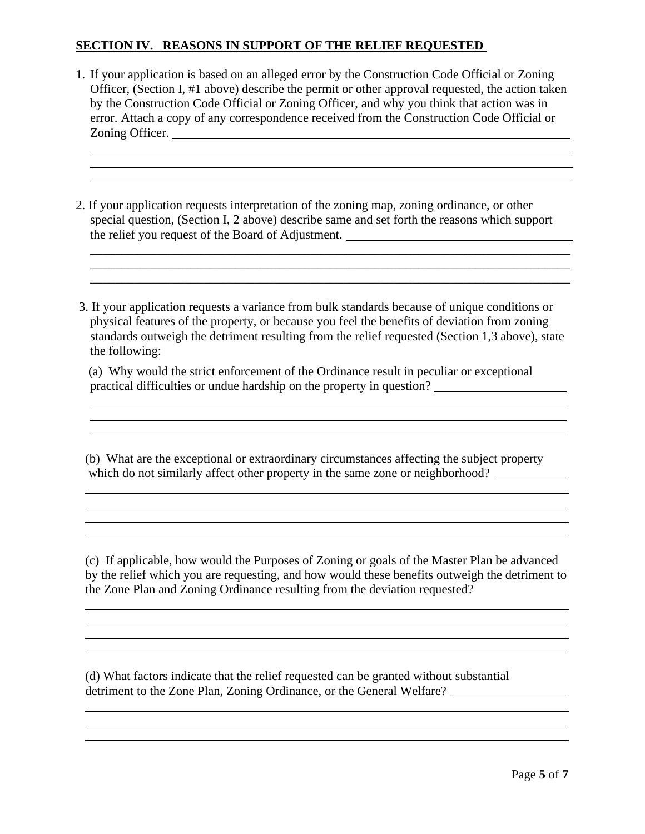# **SECTION IV. REASONS IN SUPPORT OF THE RELIEF REQUESTED**

 $\overline{a}$  $\overline{a}$  $\overline{a}$ 

 $\overline{a}$  $\overline{a}$ 

 $\overline{a}$  $\overline{a}$  $\overline{a}$ 

 $\overline{a}$  $\overline{a}$ 

 $\overline{a}$ 

 $\overline{a}$  $\overline{a}$ 

- 1. If your application is based on an alleged error by the Construction Code Official or Zoning Officer, (Section I, #1 above) describe the permit or other approval requested, the action taken by the Construction Code Official or Zoning Officer, and why you think that action was in error. Attach a copy of any correspondence received from the Construction Code Official or Zoning Officer.
- 2. If your application requests interpretation of the zoning map, zoning ordinance, or other special question, (Section I, 2 above) describe same and set forth the reasons which support the relief you request of the Board of Adjustment.

\_\_\_\_\_\_\_\_\_\_\_\_\_\_\_\_\_\_\_\_\_\_\_\_\_\_\_\_\_\_\_\_\_\_\_\_\_\_\_\_\_\_\_\_\_\_\_\_\_\_\_\_\_\_\_\_\_\_\_\_\_\_\_\_\_\_\_\_\_\_\_\_\_\_\_\_

 3. If your application requests a variance from bulk standards because of unique conditions or physical features of the property, or because you feel the benefits of deviation from zoning standards outweigh the detriment resulting from the relief requested (Section 1,3 above), state the following:

\_\_\_\_\_\_\_\_\_\_\_\_\_\_\_\_\_\_\_\_\_\_\_\_\_\_\_\_\_\_\_\_\_\_\_\_\_\_\_\_\_\_\_\_\_\_\_\_\_\_\_\_\_\_\_\_\_\_\_\_\_\_\_\_\_\_\_\_\_\_\_\_\_\_\_\_ \_\_\_\_\_\_\_\_\_\_\_\_\_\_\_\_\_\_\_\_\_\_\_\_\_\_\_\_\_\_\_\_\_\_\_\_\_\_\_\_\_\_\_\_\_\_\_\_\_\_\_\_\_\_\_\_\_\_\_\_\_\_\_\_\_\_\_\_\_\_\_\_\_\_\_\_

 (a) Why would the strict enforcement of the Ordinance result in peculiar or exceptional practical difficulties or undue hardship on the property in question?

(b) What are the exceptional or extraordinary circumstances affecting the subject property which do not similarly affect other property in the same zone or neighborhood?

(c) If applicable, how would the Purposes of Zoning or goals of the Master Plan be advanced by the relief which you are requesting, and how would these benefits outweigh the detriment to the Zone Plan and Zoning Ordinance resulting from the deviation requested?

(d) What factors indicate that the relief requested can be granted without substantial detriment to the Zone Plan, Zoning Ordinance, or the General Welfare?

 $\overline{a}$ 

 $\overline{a}$ 

 $\overline{a}$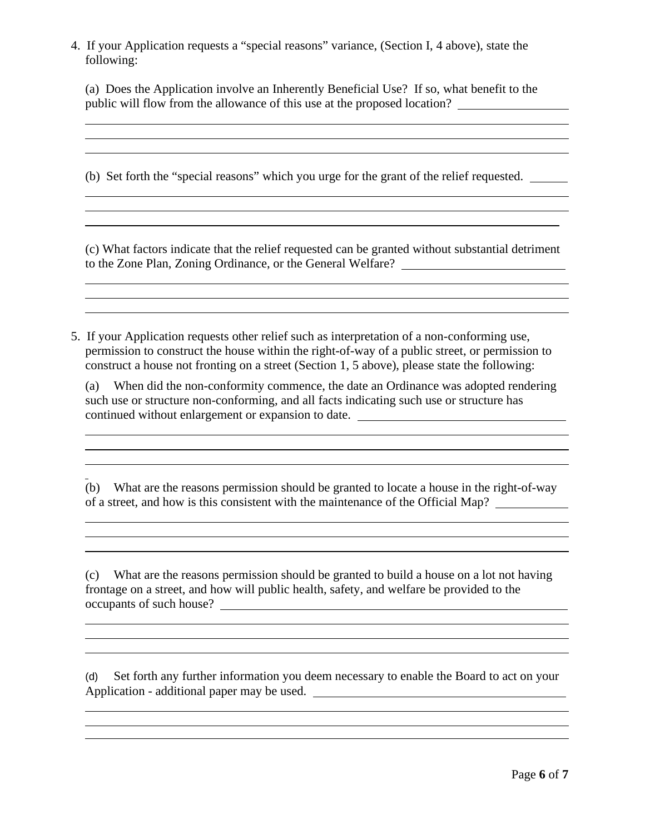4. If your Application requests a "special reasons" variance, (Section I, 4 above), state the following:

<u> 1989 - Johann Stoff, deutscher Stoffen und der Stoffen und der Stoffen und der Stoffen und der Stoffen und de</u>

 $\overline{a}$  $\overline{a}$ 

 $\overline{a}$  $\overline{a}$ 

 $\overline{a}$  $\overline{a}$  $\overline{a}$ 

 $\overline{a}$  $\overline{a}$  $\overline{a}$ 

 $\overline{a}$ 

 $\overline{a}$ 

 $\overline{a}$  $\overline{a}$  $\overline{a}$ 

 $\overline{a}$  $\overline{a}$  $\overline{a}$ 

(a) Does the Application involve an Inherently Beneficial Use? If so, what benefit to the public will flow from the allowance of this use at the proposed location?

the control of the control of the control of the control of the control of the control of the control of the control of the control of the control of the control of the control of the control of the control of the control

(b) Set forth the "special reasons" which you urge for the grant of the relief requested.

(c) What factors indicate that the relief requested can be granted without substantial detriment to the Zone Plan, Zoning Ordinance, or the General Welfare?

5. If your Application requests other relief such as interpretation of a non-conforming use, permission to construct the house within the right-of-way of a public street, or permission to construct a house not fronting on a street (Section 1, 5 above), please state the following:

(a) When did the non-conformity commence, the date an Ordinance was adopted rendering such use or structure non-conforming, and all facts indicating such use or structure has continued without enlargement or expansion to date.

<u> 1989 - Johann Stoff, deutscher Stoffen und der Stoffen und der Stoffen und der Stoffen und der Stoffen und de</u>

(b) What are the reasons permission should be granted to locate a house in the right-of-way of a street, and how is this consistent with the maintenance of the Official Map?

<u> 1989 - Johann Stoff, deutscher Stoffen und der Stoffen und der Stoffen und der Stoffen und der Stoffen und de</u>

and the control of the control of the control of the control of the control of the control of the control of the

(c) What are the reasons permission should be granted to build a house on a lot not having frontage on a street, and how will public health, safety, and welfare be provided to the occupants of such house?

(d) Set forth any further information you deem necessary to enable the Board to act on your Application - additional paper may be used.